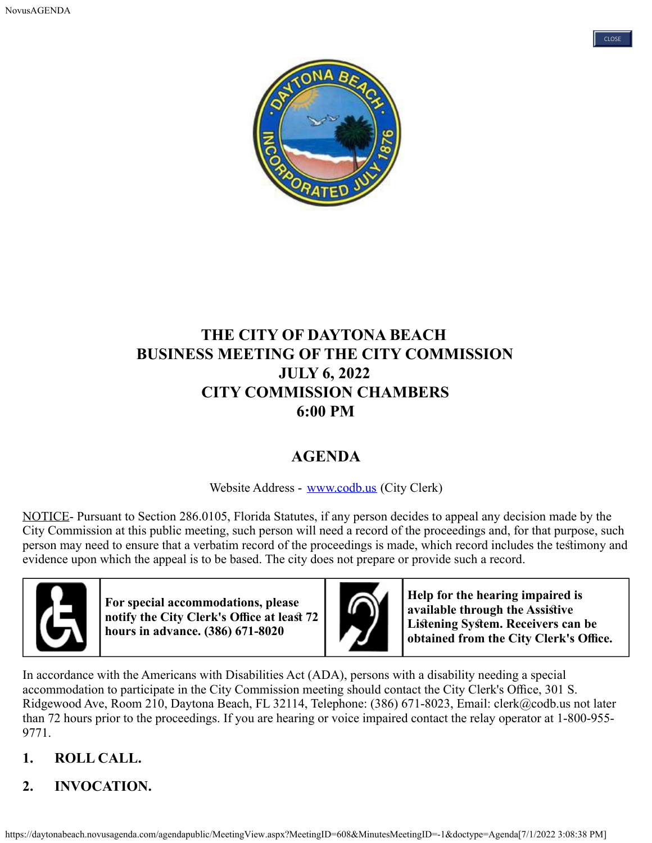



# **THE CITY OF DAYTONA BEACH BUSINESS MEETING OF THE CITY COMMISSION JULY 6, 2022 CITY COMMISSION CHAMBERS 6:00 PM**

# **AGENDA**

Website Address - [www.codb.us](http://www.codb.us/) (City Clerk)

NOTICE- Pursuant to Section 286.0105, Florida Statutes, if any person decides to appeal any decision made by the City Commission at this public meeting, such person will need a record of the proceedings and, for that purpose, such person may need to ensure that a verbatim record of the proceedings is made, which record includes the tesimony and evidence upon which the appeal is to be based. The city does not prepare or provide such a record.



**For special accommodations, please notify the City Clerk's Office at least 72 hours in advance. (386) 671-8020**



**Help for the hearing impaired is available through the Assisive Lisening Sysem. Receivers can be obtained from the City Clerk's Office.** 

In accordance with the Americans with Disabilities Act (ADA), persons with a disability needing a special accommodation to participate in the City Commission meeting should contact the City Clerk's Office, 301 S. Ridgewood Ave, Room 210, Daytona Beach, FL 32114, Telephone: (386) 671-8023, Email: clerk@codb.us not later than 72 hours prior to the proceedings. If you are hearing or voice impaired contact the relay operator at 1-800-955- 9771.

- **1. ROLL CALL.**
- **2. INVOCATION.**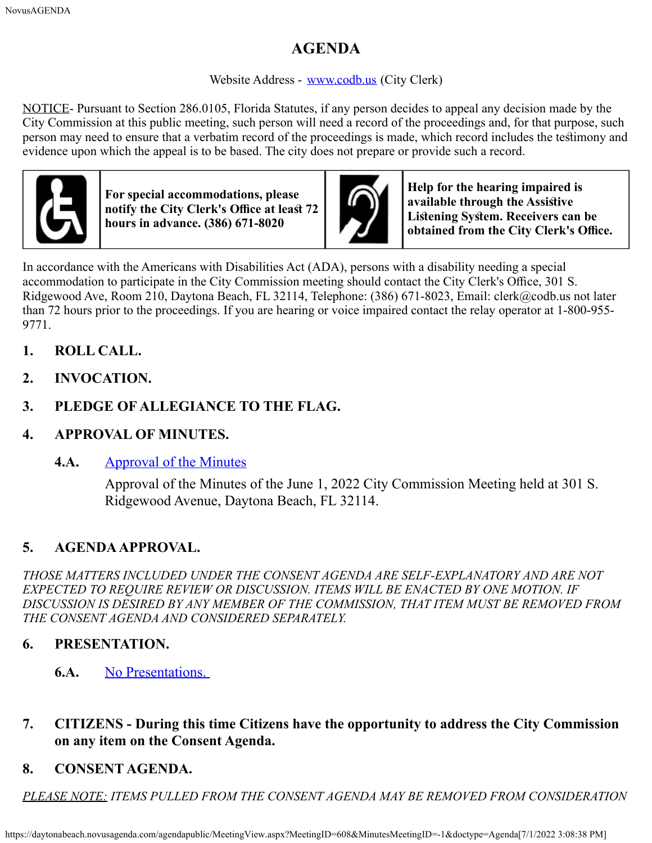# **AGENDA**

#### Website Address - [www.codb.us](http://www.codb.us/) (City Clerk)

NOTICE- Pursuant to Section 286.0105, Florida Statutes, if any person decides to appeal any decision made by the City Commission at this public meeting, such person will need a record of the proceedings and, for that purpose, such person may need to ensure that a verbatim record of the proceedings is made, which record includes the tesimony and evidence upon which the appeal is to be based. The city does not prepare or provide such a record.



**For special accommodations, please notify the City Clerk's Office at least 72 hours in advance. (386) 671-8020**



**Help for the hearing impaired is available through the Assisive Lisening Sysem. Receivers can be obtained from the City Clerk's Office.** 

In accordance with the Americans with Disabilities Act (ADA), persons with a disability needing a special accommodation to participate in the City Commission meeting should contact the City Clerk's Office, 301 S. Ridgewood Ave, Room 210, Daytona Beach, FL 32114, Telephone: (386) 671-8023, Email: clerk@codb.us not later than 72 hours prior to the proceedings. If you are hearing or voice impaired contact the relay operator at 1-800-955- 9771.

- **1. ROLL CALL.**
- **2. INVOCATION.**
- **3. PLEDGE OF ALLEGIANCE TO THE FLAG.**
- **4. APPROVAL OF MINUTES.**
	- **4.A.** [Approval of the Minutes](https://daytonabeach.novusagenda.com/agendapublic/CoverSheet.aspx?ItemID=12864&MeetingID=608)

Approval of the Minutes of the June 1, 2022 City Commission Meeting held at 301 S. Ridgewood Avenue, Daytona Beach, FL 32114.

# **5. AGENDA APPROVAL.**

*THOSE MATTERS INCLUDED UNDER THE CONSENT AGENDA ARE SELF-EXPLANATORY AND ARE NOT EXPECTED TO REQUIRE REVIEW OR DISCUSSION. ITEMS WILL BE ENACTED BY ONE MOTION. IF DISCUSSION IS DESIRED BY ANY MEMBER OF THE COMMISSION, THAT ITEM MUST BE REMOVED FROM THE CONSENT AGENDA AND CONSIDERED SEPARATELY.*

# **6. PRESENTATION.**

- **6.A.** [No Presentations.](https://daytonabeach.novusagenda.com/agendapublic/CoverSheet.aspx?ItemID=12867&MeetingID=608)
- **7. CITIZENS During this time Citizens have the opportunity to address the City Commission on any item on the Consent Agenda.**
- **8. CONSENT AGENDA.**

*PLEASE NOTE: ITEMS PULLED FROM THE CONSENT AGENDA MAY BE REMOVED FROM CONSIDERATION*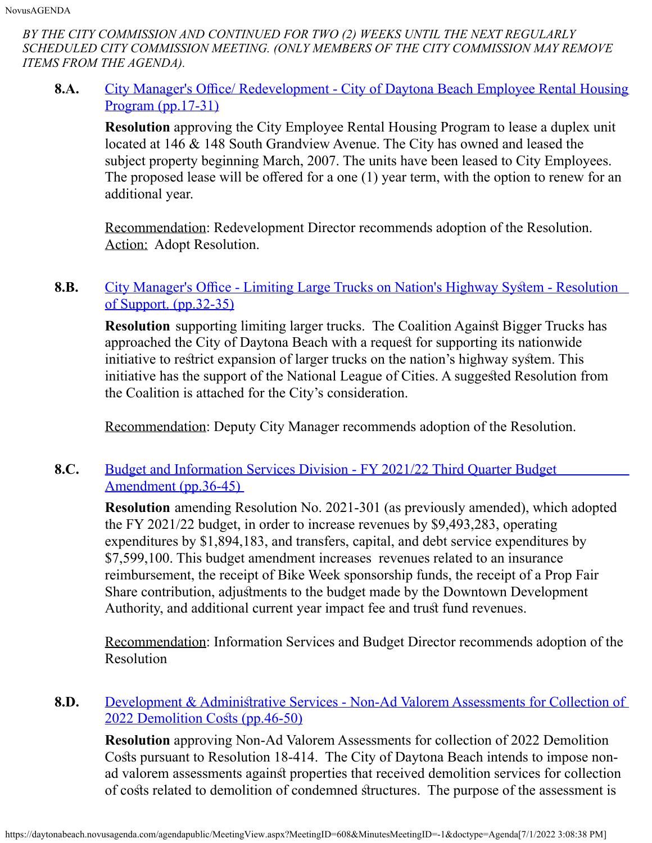*BY THE CITY COMMISSION AND CONTINUED FOR TWO (2) WEEKS UNTIL THE NEXT REGULARLY SCHEDULED CITY COMMISSION MEETING. (ONLY MEMBERS OF THE CITY COMMISSION MAY REMOVE ITEMS FROM THE AGENDA).*

**8.A.** City Manager's Office/ Redevelopment - City of Daytona Beach Employee Rental Housing [Program](https://daytonabeach.novusagenda.com/agendapublic/CoverSheet.aspx?ItemID=12907&MeetingID=608) [\(pp.17-31\)](https://daytonabeach.novusagenda.com/agendapublic/CoverSheet.aspx?ItemID=12907&MeetingID=608)

**Resolution** approving the City Employee Rental Housing Program to lease a duplex unit located at 146 & 148 South Grandview Avenue. The City has owned and leased the subject property beginning March, 2007. The units have been leased to City Employees. The proposed lease will be offered for a one  $(1)$  year term, with the option to renew for an additional year.

Recommendation: Redevelopment Director recommends adoption of the Resolution. Action: Adopt Resolution.

#### **8.B.** City Manager's Office - Limiting Large Trucks on Nation's Highway System - Resolution [of Support.](https://daytonabeach.novusagenda.com/agendapublic/CoverSheet.aspx?ItemID=12900&MeetingID=608) [\(pp.32-35\)](https://daytonabeach.novusagenda.com/agendapublic/CoverSheet.aspx?ItemID=12900&MeetingID=608)

**Resolution** supporting limiting larger trucks. The Coalition Against Bigger Trucks has approached the City of Daytona Beach with a request for supporting its nationwide initiative to restrict expansion of larger trucks on the nation's highway system. This initiative has the support of the National League of Cities. A suggested Resolution from the Coalition is attached for the City's consideration.

Recommendation: Deputy City Manager recommends adoption of the Resolution.

#### **8.C.** [Budget and Information Services Division - FY 2021/22 Third Quarter Budget](https://daytonabeach.novusagenda.com/agendapublic/CoverSheet.aspx?ItemID=12899&MeetingID=608) [Amendment](https://daytonabeach.novusagenda.com/agendapublic/CoverSheet.aspx?ItemID=12899&MeetingID=608) [\(pp.36-45\)](https://daytonabeach.novusagenda.com/agendapublic/CoverSheet.aspx?ItemID=12899&MeetingID=608)

**Resolution** amending Resolution No. 2021-301 (as previously amended), which adopted the FY 2021/22 budget, in order to increase revenues by \$9,493,283, operating expenditures by \$1,894,183, and transfers, capital, and debt service expenditures by \$7,599,100. This budget amendment increases revenues related to an insurance reimbursement, the receipt of Bike Week sponsorship funds, the receipt of a Prop Fair Share contribution, adjusments to the budget made by the Downtown Development Authority, and additional current year impact fee and trust fund revenues.

Recommendation: Information Services and Budget Director recommends adoption of the Resolution

#### **8.D.** Development & Administrative Services - Non-Ad Valorem Assessments for Collection of 2022 Demolition Costs [\(pp.46-50\)](https://daytonabeach.novusagenda.com/agendapublic/CoverSheet.aspx?ItemID=12866&MeetingID=608)

**Resolution** approving Non-Ad Valorem Assessments for collection of 2022 Demolition Costs pursuant to Resolution 18-414. The City of Daytona Beach intends to impose nonad valorem assessments against properties that received demolition services for collection of costs related to demolition of condemned structures. The purpose of the assessment is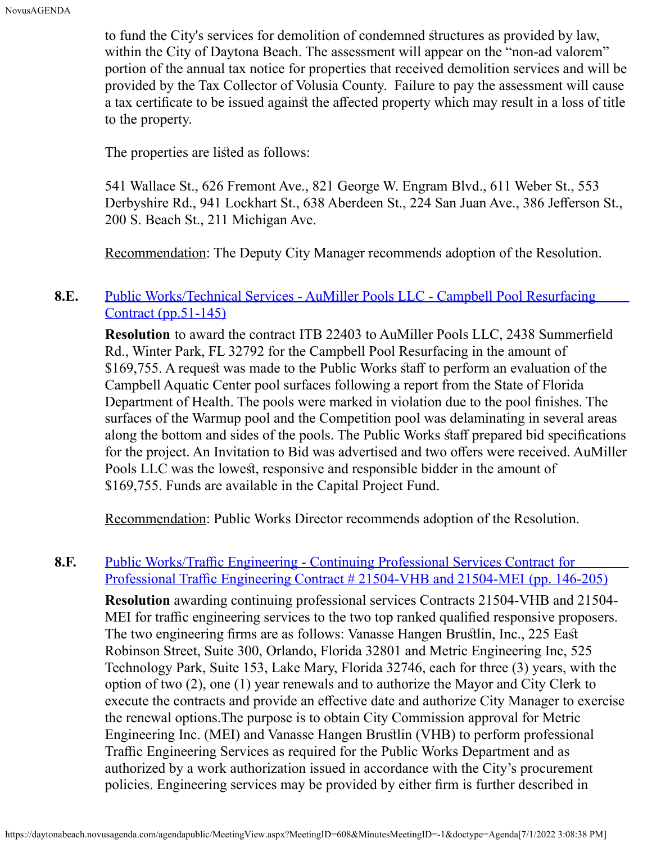to fund the City's services for demolition of condemned sructures as provided by law, within the City of Daytona Beach. The assessment will appear on the "non-ad valorem" portion of the annual tax notice for properties that received demolition services and will be provided by the Tax Collector of Volusia County. Failure to pay the assessment will cause a tax certificate to be issued against the affected property which may result in a loss of title to the property.

The properties are listed as follows:

541 Wallace St., 626 Fremont Ave., 821 George W. Engram Blvd., 611 Weber St., 553 Derbyshire Rd., 941 Lockhart St., 638 Aberdeen St., 224 San Juan Ave., 386 Jefferson St., 200 S. Beach St., 211 Michigan Ave.

Recommendation: The Deputy City Manager recommends adoption of the Resolution.

#### 8.E. [Public Works/Technical Services - AuMiller Pools LLC - Campbell Pool Resurfacing](https://daytonabeach.novusagenda.com/agendapublic/CoverSheet.aspx?ItemID=12889&MeetingID=608) [Contract](https://daytonabeach.novusagenda.com/agendapublic/CoverSheet.aspx?ItemID=12889&MeetingID=608) [\(pp.51-145\)](https://daytonabeach.novusagenda.com/agendapublic/CoverSheet.aspx?ItemID=12889&MeetingID=608)

**Resolution** to award the contract ITB 22403 to AuMiller Pools LLC, 2438 Summerfeld Rd., Winter Park, FL 32792 for the Campbell Pool Resurfacing in the amount of \$169,755. A request was made to the Public Works staff to perform an evaluation of the Campbell Aquatic Center pool surfaces following a report from the State of Florida Department of Health. The pools were marked in violation due to the pool fnishes. The surfaces of the Warmup pool and the Competition pool was delaminating in several areas along the bottom and sides of the pools. The Public Works staff prepared bid specifications for the project. An Invitation to Bid was advertised and two offers were received. AuMiller Pools LLC was the lowest, responsive and responsible bidder in the amount of \$169,755. Funds are available in the Capital Project Fund.

Recommendation: Public Works Director recommends adoption of the Resolution.

#### **8.F.** Public Works/Traffic Engineering - Continuing Professional Services Contract for <u>Professional Traffic Engineering Contract  $\#$  21504-VHB and 21504-MEI [\(pp. 146-205\)](https://daytonabeach.novusagenda.com/agendapublic/CoverSheet.aspx?ItemID=12892&MeetingID=608)</u>

**Resolution** awarding continuing professional services Contracts 21504-VHB and 21504- MEI for traffic engineering services to the two top ranked qualified responsive proposers. The two engineering frms are as follows: Vanasse Hangen Bruslin, Inc., 225 Eas Robinson Street, Suite 300, Orlando, Florida 32801 and Metric Engineering Inc, 525 Technology Park, Suite 153, Lake Mary, Florida 32746, each for three (3) years, with the option of two (2), one (1) year renewals and to authorize the Mayor and City Clerk to execute the contracts and provide an efective date and authorize City Manager to exercise the renewal options. The purpose is to obtain City Commission approval for Metric Engineering Inc. (MEI) and Vanasse Hangen Bruslin (VHB) to perform professional Traffic Engineering Services as required for the Public Works Department and as authorized by a work authorization issued in accordance with the City's procurement policies. Engineering services may be provided by either frm is further described in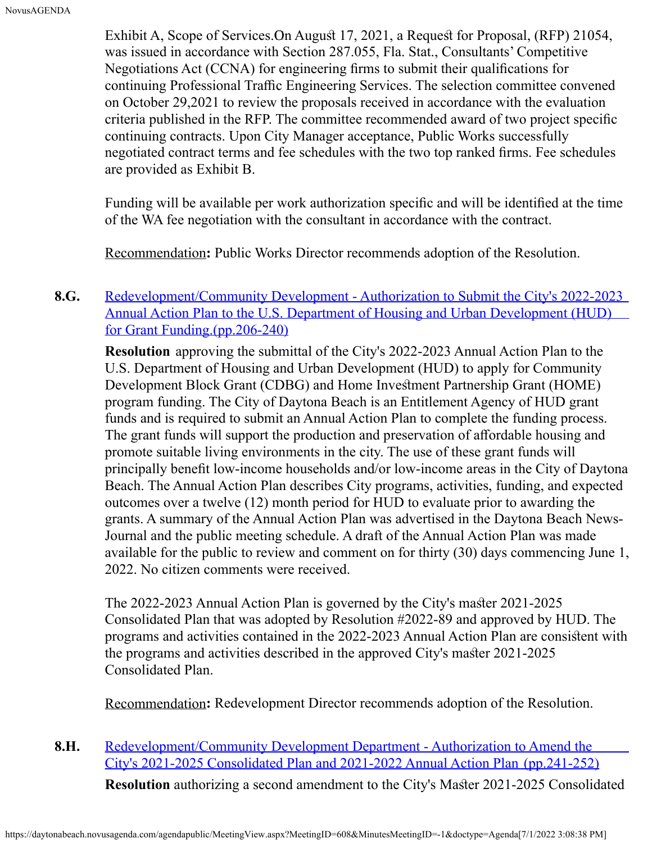Exhibit A, Scope of Services. On August 17, 2021, a Request for Proposal, (RFP) 21054, was issued in accordance with Section 287.055, Fla. Stat., Consultants' Competitive Negotiations Act (CCNA) for engineering frms to submit their qualifcations for continuing Professional Traffic Engineering Services. The selection committee convened on October 29,2021 to review the proposals received in accordance with the evaluation criteria published in the RFP. The committee recommended award of two project specifc continuing contracts. Upon City Manager acceptance, Public Works successfully negotiated contract terms and fee schedules with the two top ranked frms. Fee schedules are provided as Exhibit B.

Funding will be available per work authorization specifc and will be identifed at the time of the WA fee negotiation with the consultant in accordance with the contract.

Recommendation**:** Public Works Director recommends adoption of the Resolution.

### **8.G.** [Redevelopment/Community Development - Authorization to Submit the City's 2022-2023](https://daytonabeach.novusagenda.com/agendapublic/CoverSheet.aspx?ItemID=12882&MeetingID=608) [Annual Action Plan to the U.S. Department of Housing and Urban Development \(HUD\)](https://daytonabeach.novusagenda.com/agendapublic/CoverSheet.aspx?ItemID=12882&MeetingID=608) [for Grant Funding.\(pp.206-240\)](https://daytonabeach.novusagenda.com/agendapublic/CoverSheet.aspx?ItemID=12882&MeetingID=608)

**Resolution** approving the submittal of the City's 2022-2023 Annual Action Plan to the U.S. Department of Housing and Urban Development (HUD) to apply for Community Development Block Grant (CDBG) and Home Investment Partnership Grant (HOME) program funding. The City of Daytona Beach is an Entitlement Agency of HUD grant funds and is required to submit an Annual Action Plan to complete the funding process. The grant funds will support the production and preservation of affordable housing and promote suitable living environments in the city. The use of these grant funds will principally beneft low-income households and/or low-income areas in the City of Daytona Beach. The Annual Action Plan describes City programs, activities, funding, and expected outcomes over a twelve (12) month period for HUD to evaluate prior to awarding the grants. A summary of the Annual Action Plan was advertised in the Daytona Beach News-Journal and the public meeting schedule. A draft of the Annual Action Plan was made available for the public to review and comment on for thirty (30) days commencing June 1, 2022. No citizen comments were received.

The 2022-2023 Annual Action Plan is governed by the City's master 2021-2025 Consolidated Plan that was adopted by Resolution #2022-89 and approved by HUD. The programs and activities contained in the 2022-2023 Annual Action Plan are consisent with the programs and activities described in the approved City's master 2021-2025 Consolidated Plan.

Recommendation**:** Redevelopment Director recommends adoption of the Resolution.

**8.H.** [Redevelopment/Community Development Department - Authorization to Amend the](https://daytonabeach.novusagenda.com/agendapublic/CoverSheet.aspx?ItemID=12881&MeetingID=608) [City's 2021-2025 Consolidated Plan and 2021-2022 Annual Action Plan](https://daytonabeach.novusagenda.com/agendapublic/CoverSheet.aspx?ItemID=12881&MeetingID=608) [\(pp.241-252\)](https://daytonabeach.novusagenda.com/agendapublic/CoverSheet.aspx?ItemID=12881&MeetingID=608)

**Resolution** authorizing a second amendment to the City's Master 2021-2025 Consolidated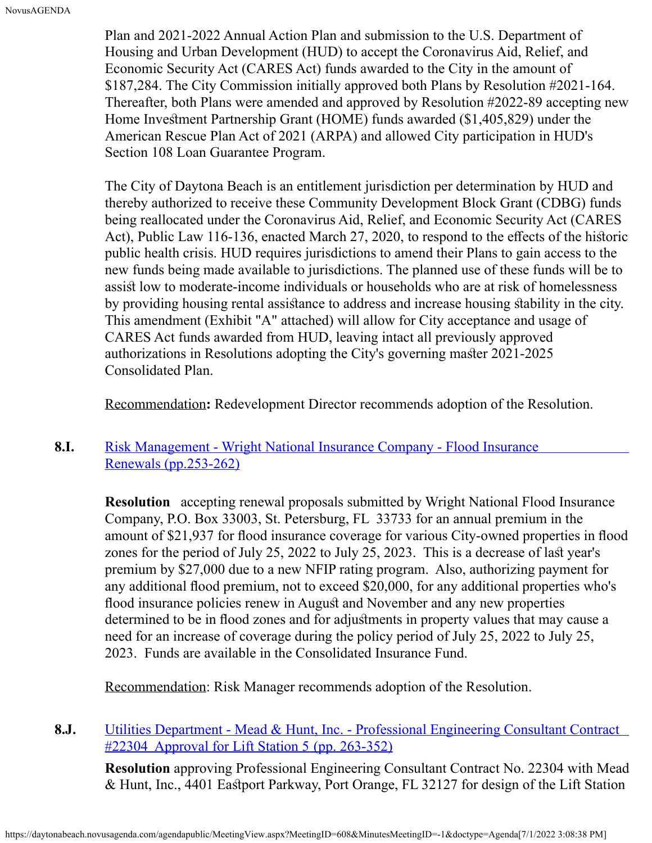Plan and 2021-2022 Annual Action Plan and submission to the U.S. Department of Housing and Urban Development (HUD) to accept the Coronavirus Aid, Relief, and Economic Security Act (CARES Act) funds awarded to the City in the amount of \$187,284. The City Commission initially approved both Plans by Resolution #2021-164. Thereafter, both Plans were amended and approved by Resolution #2022-89 accepting new Home Investment Partnership Grant (HOME) funds awarded (\$1,405,829) under the American Rescue Plan Act of 2021 (ARPA) and allowed City participation in HUD's Section 108 Loan Guarantee Program.

The City of Daytona Beach is an entitlement jurisdiction per determination by HUD and thereby authorized to receive these Community Development Block Grant (CDBG) funds being reallocated under the Coronavirus Aid, Relief, and Economic Security Act (CARES Act), Public Law 116-136, enacted March 27, 2020, to respond to the effects of the historic public health crisis. HUD requires jurisdictions to amend their Plans to gain access to the new funds being made available to jurisdictions. The planned use of these funds will be to assist low to moderate-income individuals or households who are at risk of homelessness by providing housing rental assistance to address and increase housing stability in the city. This amendment (Exhibit "A" attached) will allow for City acceptance and usage of CARES Act funds awarded from HUD, leaving intact all previously approved authorizations in Resolutions adopting the City's governing master 2021-2025 Consolidated Plan.

Recommendation**:** Redevelopment Director recommends adoption of the Resolution.

#### **8.I.** [Risk Management - Wright National Insurance Company - Flood Insurance](https://daytonabeach.novusagenda.com/agendapublic/CoverSheet.aspx?ItemID=12856&MeetingID=608) [Renewals](https://daytonabeach.novusagenda.com/agendapublic/CoverSheet.aspx?ItemID=12856&MeetingID=608) [\(pp.253-262\)](https://daytonabeach.novusagenda.com/agendapublic/CoverSheet.aspx?ItemID=12856&MeetingID=608)

**Resolution** accepting renewal proposals submitted by Wright National Flood Insurance Company, P.O. Box 33003, St. Petersburg, FL 33733 for an annual premium in the amount of \$21,937 for flood insurance coverage for various City-owned properties in flood zones for the period of July 25, 2022 to July 25, 2023. This is a decrease of last year's premium by \$27,000 due to a new NFIP rating program. Also, authorizing payment for any additional food premium, not to exceed \$20,000, for any additional properties who's flood insurance policies renew in August and November and any new properties determined to be in flood zones and for adjustments in property values that may cause a need for an increase of coverage during the policy period of July 25, 2022 to July 25, 2023. Funds are available in the Consolidated Insurance Fund.

Recommendation: Risk Manager recommends adoption of the Resolution.

#### **8.J.** [Utilities Department - Mead & Hunt, Inc. - Professional Engineering Consultant Contract](https://daytonabeach.novusagenda.com/agendapublic/CoverSheet.aspx?ItemID=12869&MeetingID=608) [#22304 Approval for Lift Station 5](https://daytonabeach.novusagenda.com/agendapublic/CoverSheet.aspx?ItemID=12869&MeetingID=608) [\(pp. 263-352\)](https://daytonabeach.novusagenda.com/agendapublic/CoverSheet.aspx?ItemID=12869&MeetingID=608)

**Resolution** approving Professional Engineering Consultant Contract No. 22304 with Mead & Hunt, Inc., 4401 Eastport Parkway, Port Orange, FL 32127 for design of the Lift Station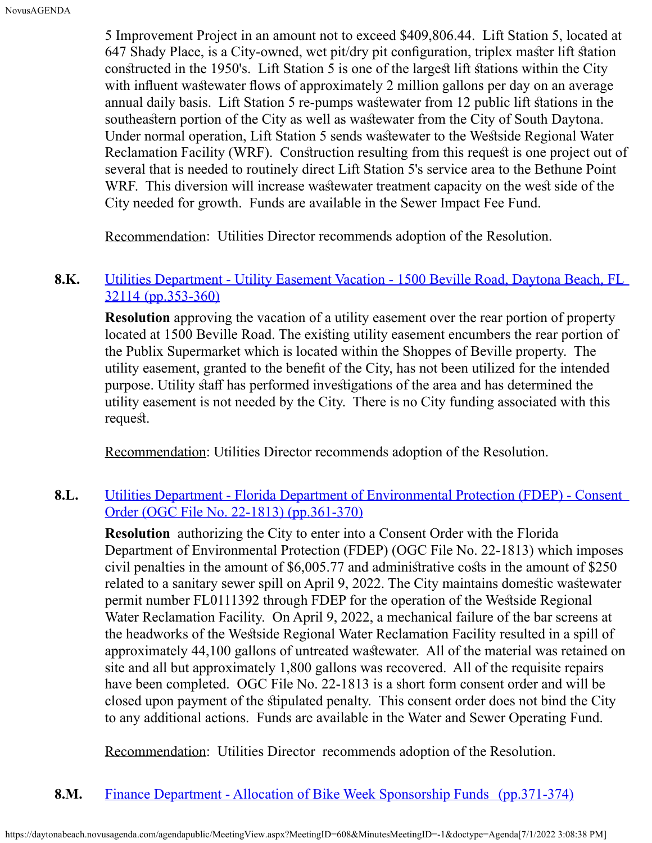5 Improvement Project in an amount not to exceed \$409,806.44. Lift Station 5, located at 647 Shady Place, is a City-owned, wet pit/dry pit configuration, triplex master lift station constructed in the 1950's. Lift Station 5 is one of the largest lift stations within the City with influent was tewater flows of approximately 2 million gallons per day on an average annual daily basis. Lift Station 5 re-pumps was tewater from 12 public lift stations in the southeastern portion of the City as well as was tewater from the City of South Daytona. Under normal operation, Lift Station 5 sends was tewater to the West side Regional Water Reclamation Facility (WRF). Construction resulting from this request is one project out of several that is needed to routinely direct Lift Station 5's service area to the Bethune Point WRF. This diversion will increase was tewater treatment capacity on the west side of the City needed for growth. Funds are available in the Sewer Impact Fee Fund.

Recommendation: Utilities Director recommends adoption of the Resolution.

#### 8.K. [Utilities Department - Utility Easement Vacation - 1500 Beville Road, Daytona Beach, FL](https://daytonabeach.novusagenda.com/agendapublic/CoverSheet.aspx?ItemID=12878&MeetingID=608) [32114](https://daytonabeach.novusagenda.com/agendapublic/CoverSheet.aspx?ItemID=12878&MeetingID=608) [\(pp.353-360\)](https://daytonabeach.novusagenda.com/agendapublic/CoverSheet.aspx?ItemID=12878&MeetingID=608)

**Resolution** approving the vacation of a utility easement over the rear portion of property located at 1500 Beville Road. The existing utility easement encumbers the rear portion of the Publix Supermarket which is located within the Shoppes of Beville property. The utility easement, granted to the beneft of the City, has not been utilized for the intended purpose. Utility staff has performed investigations of the area and has determined the utility easement is not needed by the City. There is no City funding associated with this request.

Recommendation: Utilities Director recommends adoption of the Resolution.

#### 8.L. [Utilities Department - Florida Department of Environmental](https://daytonabeach.novusagenda.com/agendapublic/CoverSheet.aspx?ItemID=12887&MeetingID=608) Protection (FDEP) - Consent [Order \(OGC File No. 22-1813\)](https://daytonabeach.novusagenda.com/agendapublic/CoverSheet.aspx?ItemID=12887&MeetingID=608) [\(pp.361-370\)](https://daytonabeach.novusagenda.com/agendapublic/CoverSheet.aspx?ItemID=12887&MeetingID=608)

**Resolution** authorizing the City to enter into a Consent Order with the Florida Department of Environmental Protection (FDEP) (OGC File No. 22-1813) which imposes civil penalties in the amount of \$6,005.77 and administrative costs in the amount of \$250 related to a sanitary sewer spill on April 9, 2022. The City maintains domestic was tewater permit number FL0111392 through FDEP for the operation of the West side Regional Water Reclamation Facility. On April 9, 2022, a mechanical failure of the bar screens at the headworks of the West side Regional Water Reclamation Facility resulted in a spill of approximately 44,100 gallons of untreated wastewater. All of the material was retained on site and all but approximately 1,800 gallons was recovered. All of the requisite repairs have been completed. OGC File No. 22-1813 is a short form consent order and will be closed upon payment of the sipulated penalty. This consent order does not bind the City to any additional actions. Funds are available in the Water and Sewer Operating Fund.

Recommendation: Utilities Director recommends adoption of the Resolution.

#### **8.M.** [Finance Department - Allocation of Bike Week Sponsorship Funds](https://daytonabeach.novusagenda.com/agendapublic/CoverSheet.aspx?ItemID=12870&MeetingID=608) [\(pp.371-374\)](https://daytonabeach.novusagenda.com/agendapublic/CoverSheet.aspx?ItemID=12870&MeetingID=608)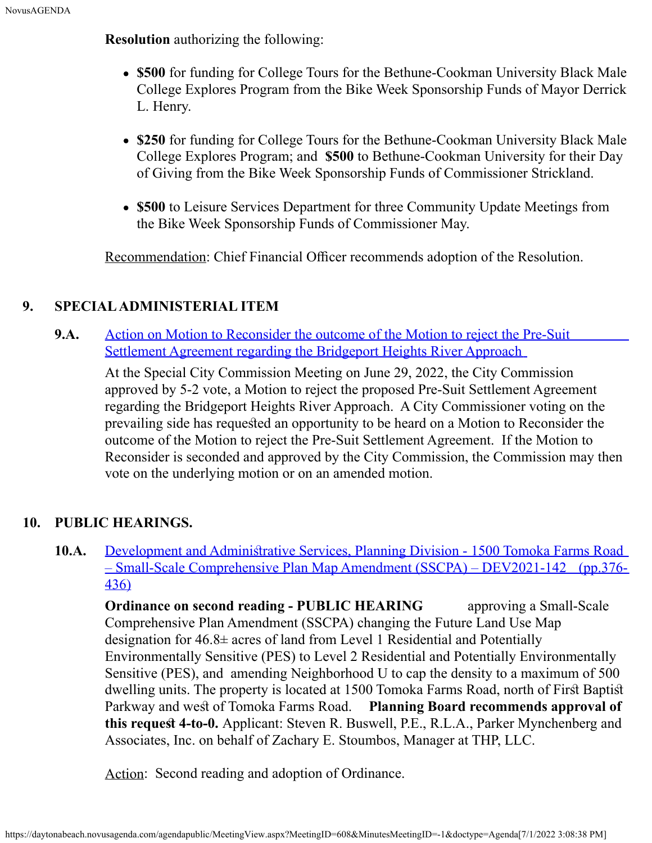**Resolution** authorizing the following:

- **\$500** for funding for College Tours for the Bethune-Cookman University Black Male College Explores Program from the Bike Week Sponsorship Funds of Mayor Derrick L. Henry.
- **\$250** for funding for College Tours for the Bethune-Cookman University Black Male College Explores Program; and **\$500** to Bethune-Cookman University for their Day of Giving from the Bike Week Sponsorship Funds of Commissioner Strickland.
- **\$500** to Leisure Services Department for three Community Update Meetings from the Bike Week Sponsorship Funds of Commissioner May.

Recommendation: Chief Financial Officer recommends adoption of the Resolution.

#### **9. SPECIAL ADMINISTERIAL ITEM**

**9.A.** [Action on Motion to Reconsider the outcome of the Motion to reject the Pre-Suit](https://daytonabeach.novusagenda.com/agendapublic/CoverSheet.aspx?ItemID=12910&MeetingID=608) [Settlement Agreement regarding the Bridgeport Heights River Approach](https://daytonabeach.novusagenda.com/agendapublic/CoverSheet.aspx?ItemID=12910&MeetingID=608)

At the Special City Commission Meeting on June 29, 2022, the City Commission approved by 5-2 vote, a Motion to reject the proposed Pre-Suit Settlement Agreement regarding the Bridgeport Heights River Approach. A City Commissioner voting on the prevailing side has requested an opportunity to be heard on a Motion to Reconsider the outcome of the Motion to reject the Pre-Suit Settlement Agreement. If the Motion to Reconsider is seconded and approved by the City Commission, the Commission may then vote on the underlying motion or on an amended motion.

#### **10. PUBLIC HEARINGS.**

**10.A.** Development and Administrative Services, Planning Division - 1500 Tomoka Farms Road [– Small-Scale Comprehensive Plan Map Amendment \(SSCPA\) – DEV2021-142](https://daytonabeach.novusagenda.com/agendapublic/CoverSheet.aspx?ItemID=12871&MeetingID=608) [\(pp.376-](https://daytonabeach.novusagenda.com/agendapublic/CoverSheet.aspx?ItemID=12871&MeetingID=608) [436\)](https://daytonabeach.novusagenda.com/agendapublic/CoverSheet.aspx?ItemID=12871&MeetingID=608)

**Ordinance on second reading - PUBLIC HEARING** approving a Small-Scale Comprehensive Plan Amendment (SSCPA) changing the Future Land Use Map designation for 46.8± acres of land from Level 1 Residential and Potentially Environmentally Sensitive (PES) to Level 2 Residential and Potentially Environmentally Sensitive (PES), and amending Neighborhood U to cap the density to a maximum of 500 dwelling units. The property is located at 1500 Tomoka Farms Road, north of First Baptist Parkway and west of Tomoka Farms Road. Planning Board recommends approval of **this request 4-to-0.** Applicant: Steven R. Buswell, P.E., R.L.A., Parker Mynchenberg and Associates, Inc. on behalf of Zachary E. Stoumbos, Manager at THP, LLC.

Action: Second reading and adoption of Ordinance.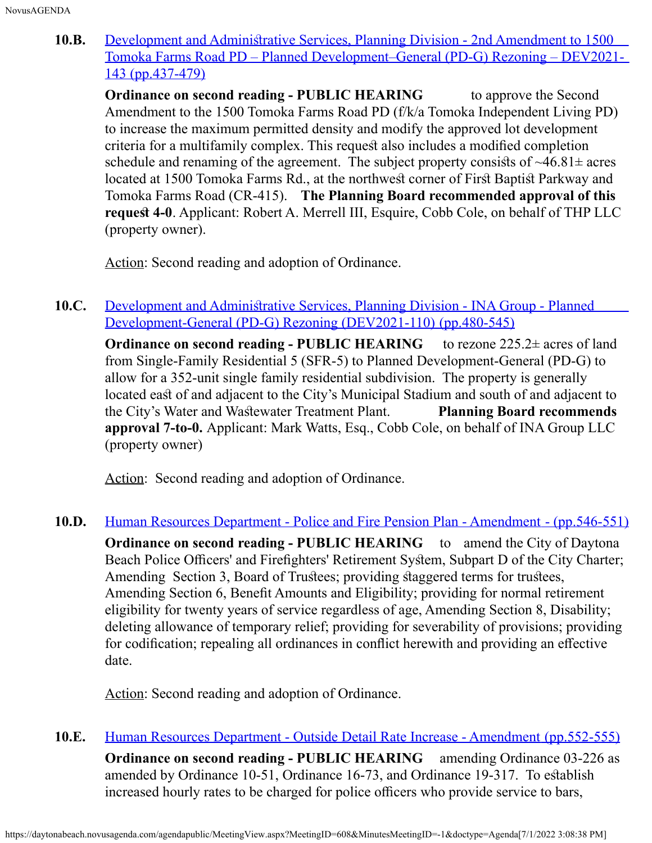**10.B.** Development and Administrative Services, Planning Division - 2nd Amendment to 1500 [Tomoka Farms Road PD – Planned Development–General \(PD-G\) Rezoning – DEV2021-](https://daytonabeach.novusagenda.com/agendapublic/CoverSheet.aspx?ItemID=12872&MeetingID=608) [143](https://daytonabeach.novusagenda.com/agendapublic/CoverSheet.aspx?ItemID=12872&MeetingID=608) [\(pp.437-479\)](https://daytonabeach.novusagenda.com/agendapublic/CoverSheet.aspx?ItemID=12872&MeetingID=608)

**Ordinance on second reading - PUBLIC HEARING** to approve the Second Amendment to the 1500 Tomoka Farms Road PD (f/k/a Tomoka Independent Living PD) to increase the maximum permitted density and modify the approved lot development criteria for a multifamily complex. This request also includes a modified completion schedule and renaming of the agreement. The subject property consists of  $\sim46.81\pm$  acres located at 1500 Tomoka Farms Rd., at the northwest corner of First Baptist Parkway and Tomoka Farms Road (CR-415). **The Planning Board recommended approval of this request 4-0**. Applicant: Robert A. Merrell III, Esquire, Cobb Cole, on behalf of THP LLC (property owner).

Action: Second reading and adoption of Ordinance.

**10.C.** Development and Administrative Services, Planning Division - INA Group - Planned [Development-General \(PD-G\) Rezoning \(DEV2021-110\)](https://daytonabeach.novusagenda.com/agendapublic/CoverSheet.aspx?ItemID=12874&MeetingID=608) [\(pp.480-545\)](https://daytonabeach.novusagenda.com/agendapublic/CoverSheet.aspx?ItemID=12874&MeetingID=608)

**Ordinance on second reading - PUBLIC HEARING** to rezone 225.2± acres of land from Single-Family Residential 5 (SFR-5) to Planned Development-General (PD-G) to allow for a 352-unit single family residential subdivision. The property is generally located east of and adjacent to the City's Municipal Stadium and south of and adjacent to the City's Water and Wasewater Treatment Plant. **Planning Board recommends approval 7-to-0.** Applicant: Mark Watts, Esq., Cobb Cole, on behalf of INA Group LLC (property owner)

Action: Second reading and adoption of Ordinance.

**10.D.** [Human Resources Department - Police and Fire Pension Plan - Amendment](https://daytonabeach.novusagenda.com/agendapublic/CoverSheet.aspx?ItemID=12875&MeetingID=608) [- \(pp.546-551\)](https://daytonabeach.novusagenda.com/agendapublic/CoverSheet.aspx?ItemID=12875&MeetingID=608)

**Ordinance on second reading - PUBLIC HEARING** to amend the City of Daytona Beach Police Officers' and Firefighters' Retirement System, Subpart D of the City Charter; Amending Section 3, Board of Trustees; providing staggered terms for trustees, Amending Section 6, Beneft Amounts and Eligibility; providing for normal retirement eligibility for twenty years of service regardless of age, Amending Section 8, Disability; deleting allowance of temporary relief; providing for severability of provisions; providing for codifcation; repealing all ordinances in confict herewith and providing an efective date.

Action: Second reading and adoption of Ordinance.

**10.E.** [Human Resources Department - Outside Detail Rate Increase - Amendment](https://daytonabeach.novusagenda.com/agendapublic/CoverSheet.aspx?ItemID=12876&MeetingID=608) [\(pp.552-555\)](https://daytonabeach.novusagenda.com/agendapublic/CoverSheet.aspx?ItemID=12876&MeetingID=608) **Ordinance on second reading - PUBLIC HEARING** amending Ordinance 03-226 as amended by Ordinance 10-51, Ordinance 16-73, and Ordinance 19-317. To establish increased hourly rates to be charged for police officers who provide service to bars,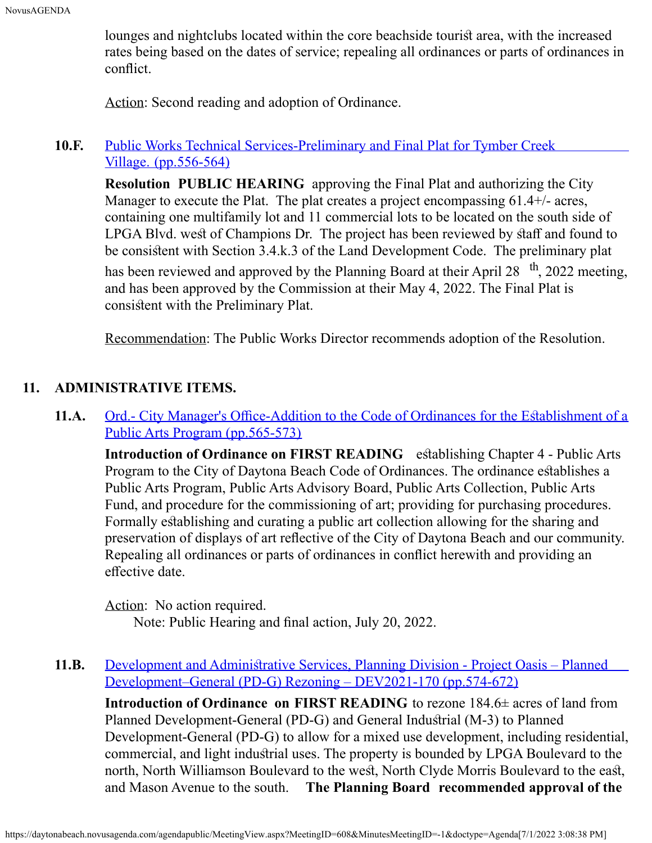lounges and nightclubs located within the core beachside tourist area, with the increased rates being based on the dates of service; repealing all ordinances or parts of ordinances in confict.

Action: Second reading and adoption of Ordinance.

#### **10.F.** [Public Works Technical Services-Preliminary and Final Plat for Tymber Creek](https://daytonabeach.novusagenda.com/agendapublic/CoverSheet.aspx?ItemID=12879&MeetingID=608) [Village.](https://daytonabeach.novusagenda.com/agendapublic/CoverSheet.aspx?ItemID=12879&MeetingID=608) [\(pp.556-564\)](https://daytonabeach.novusagenda.com/agendapublic/CoverSheet.aspx?ItemID=12879&MeetingID=608)

**Resolution PUBLIC HEARING** approving the Final Plat and authorizing the City Manager to execute the Plat. The plat creates a project encompassing 61.4+/- acres, containing one multifamily lot and 11 commercial lots to be located on the south side of LPGA Blvd. west of Champions Dr. The project has been reviewed by staff and found to be consisent with Section 3.4.k.3 of the Land Development Code. The preliminary plat has been reviewed and approved by the Planning Board at their April 28  $\,$ <sup>th</sup>, 2022 meeting, and has been approved by the Commission at their May 4, 2022. The Final Plat is consistent with the Preliminary Plat.

Recommendation: The Public Works Director recommends adoption of the Resolution.

## **11. ADMINISTRATIVE ITEMS.**

**11.A.** Ord.- City Manager's Office-Addition to the Code of Ordinances for the Establishment of a [Public Arts Program](https://daytonabeach.novusagenda.com/agendapublic/CoverSheet.aspx?ItemID=12868&MeetingID=608) (pp.565-573)

**Introduction of Ordinance on FIRST READING** establishing Chapter 4 - Public Arts Program to the City of Daytona Beach Code of Ordinances. The ordinance establishes a Public Arts Program, Public Arts Advisory Board, Public Arts Collection, Public Arts Fund, and procedure for the commissioning of art; providing for purchasing procedures. Formally establishing and curating a public art collection allowing for the sharing and preservation of displays of art refective of the City of Daytona Beach and our community. Repealing all ordinances or parts of ordinances in confict herewith and providing an effective date.

Action: No action required.

Note: Public Hearing and fnal action, July 20, 2022.

11.B. Development and Administrative Services, Planning Division - Project Oasis – Planned [Development–General \(PD-G\) Rezoning – DEV2021-170](https://daytonabeach.novusagenda.com/agendapublic/CoverSheet.aspx?ItemID=12896&MeetingID=608) [\(pp.574-672\)](https://daytonabeach.novusagenda.com/agendapublic/CoverSheet.aspx?ItemID=12896&MeetingID=608)

**Introduction of Ordinance on FIRST READING** to rezone 184.6± acres of land from Planned Development-General (PD-G) and General Industrial (M-3) to Planned Development-General (PD-G) to allow for a mixed use development, including residential, commercial, and light industrial uses. The property is bounded by LPGA Boulevard to the north, North Williamson Boulevard to the west, North Clyde Morris Boulevard to the east, and Mason Avenue to the south. **The Planning Board recommended approval of the**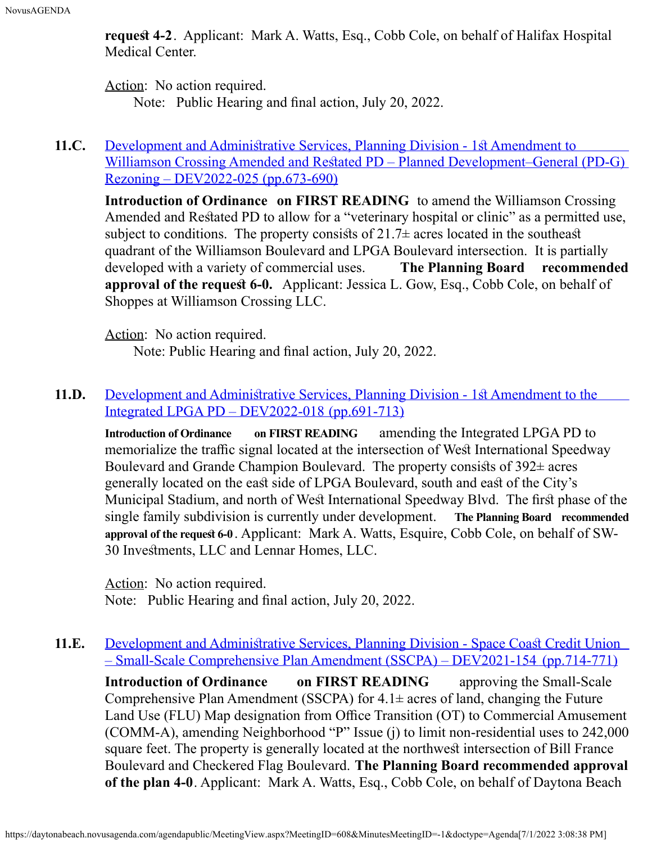**request 4-2.** Applicant: Mark A. Watts, Esq., Cobb Cole, on behalf of Halifax Hospital Medical Center.

Action: No action required.

Note: Public Hearing and fnal action, July 20, 2022.

#### **11.C.** Development and Administrative Services, Planning Division - 1st Amendment to Williamson Crossing Amended and Restated PD – Planned Development–General (PD-G) [Rezoning – DEV2022-025](https://daytonabeach.novusagenda.com/agendapublic/CoverSheet.aspx?ItemID=12894&MeetingID=608) [\(pp.673-690\)](https://daytonabeach.novusagenda.com/agendapublic/CoverSheet.aspx?ItemID=12894&MeetingID=608)

**Introduction of Ordinance on FIRST READING** to amend the Williamson Crossing Amended and Restated PD to allow for a "veterinary hospital or clinic" as a permitted use, subject to conditions. The property consists of  $21.7\pm$  acres located in the southeast quadrant of the Williamson Boulevard and LPGA Boulevard intersection. It is partially developed with a variety of commercial uses. **The Planning Board recommended approval of the request 6-0.** Applicant: Jessica L. Gow, Esq., Cobb Cole, on behalf of Shoppes at Williamson Crossing LLC.

Action: No action required.

Note: Public Hearing and fnal action, July 20, 2022.

#### **11.D.** Development and Administrative Services, Planning Division - 1st Amendment to the [Integrated LPGA PD – DEV2022-018](https://daytonabeach.novusagenda.com/agendapublic/CoverSheet.aspx?ItemID=12897&MeetingID=608) [\(pp.691-713\)](https://daytonabeach.novusagenda.com/agendapublic/CoverSheet.aspx?ItemID=12897&MeetingID=608)

**Introduction of Ordinance on FIRST READING** amending the Integrated LPGA PD to memorialize the traffic signal located at the intersection of West International Speedway Boulevard and Grande Champion Boulevard. The property consists of  $392\pm$  acres generally located on the east side of LPGA Boulevard, south and east of the City's Municipal Stadium, and north of West International Speedway Blvd. The first phase of the single family subdivision is currently under development. **The Planning Board recommended approval of the reques 6-0** . Applicant: Mark A. Watts, Esquire, Cobb Cole, on behalf of SW-30 Invesments, LLC and Lennar Homes, LLC.

Action: No action required. Note: Public Hearing and fnal action, July 20, 2022.

#### 11.E. Development and Administrative Services, Planning Division - Space Coast Credit Union [– Small-Scale Comprehensive Plan Amendment \(SSCPA\) – DEV2021-154](https://daytonabeach.novusagenda.com/agendapublic/CoverSheet.aspx?ItemID=12883&MeetingID=608) [\(pp.714-771\)](https://daytonabeach.novusagenda.com/agendapublic/CoverSheet.aspx?ItemID=12883&MeetingID=608)

**Introduction of Ordinance on FIRST READING** approving the Small-Scale Comprehensive Plan Amendment (SSCPA) for  $4.1\pm$  acres of land, changing the Future Land Use (FLU) Map designation from Office Transition (OT) to Commercial Amusement (COMM-A), amending Neighborhood "P" Issue (j) to limit non-residential uses to 242,000 square feet. The property is generally located at the northwest intersection of Bill France Boulevard and Checkered Flag Boulevard. **The Planning Board recommended approval of the plan 4-0**. Applicant: Mark A. Watts, Esq., Cobb Cole, on behalf of Daytona Beach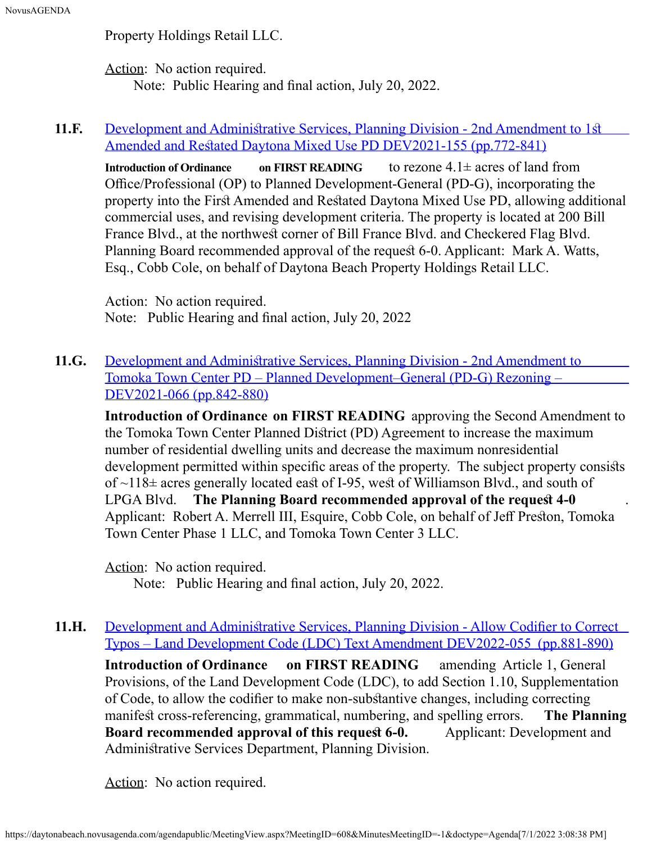Property Holdings Retail LLC.

Action: No action required. Note: Public Hearing and fnal action, July 20, 2022.

#### **11.F.** Development and Administrative Services, Planning Division - 2nd Amendment to 1st Amended and Restated Daytona Mixed Use PD DEV2021-155 [\(pp.772-841\)](https://daytonabeach.novusagenda.com/agendapublic/CoverSheet.aspx?ItemID=12893&MeetingID=608)

**Introduction of Ordinance on FIRST READING** to rezone 4.1± acres of land from  $O$ ffice/Professional (OP) to Planned Development-General (PD-G), incorporating the property into the First Amended and Restated Daytona Mixed Use PD, allowing additional commercial uses, and revising development criteria. The property is located at 200 Bill France Blvd., at the northwest corner of Bill France Blvd. and Checkered Flag Blvd. Planning Board recommended approval of the request 6-0. Applicant: Mark A. Watts, Esq., Cobb Cole, on behalf of Daytona Beach Property Holdings Retail LLC.

Action: No action required. Note: Public Hearing and fnal action, July 20, 2022

**11.G.** Development and Administrative Services, Planning Division - 2nd Amendment to [Tomoka Town Center PD – Planned Development–General \(PD-G\) Rezoning –](https://daytonabeach.novusagenda.com/agendapublic/CoverSheet.aspx?ItemID=12885&MeetingID=608) [DEV2021-066](https://daytonabeach.novusagenda.com/agendapublic/CoverSheet.aspx?ItemID=12885&MeetingID=608) [\(pp.842-880\)](https://daytonabeach.novusagenda.com/agendapublic/CoverSheet.aspx?ItemID=12885&MeetingID=608)

**Introduction of Ordinance on FIRST READING** approving the Second Amendment to the Tomoka Town Center Planned Disrict (PD) Agreement to increase the maximum number of residential dwelling units and decrease the maximum nonresidential development permitted within specific areas of the property. The subject property consists of  $\sim$ 118 $\pm$  acres generally located east of I-95, west of Williamson Blvd., and south of LPGA Blvd. **The Planning Board recommended approval of the request 4-0** Applicant: Robert A. Merrell III, Esquire, Cobb Cole, on behalf of Jeff Preston, Tomoka Town Center Phase 1 LLC, and Tomoka Town Center 3 LLC.

Action: No action required.

Note: Public Hearing and fnal action, July 20, 2022.

11.H. Development and Administrative Services, Planning Division - Allow Codifier to Correct [Typos – Land Development Code \(LDC\) Text Amendment DEV2022-055](https://daytonabeach.novusagenda.com/agendapublic/CoverSheet.aspx?ItemID=12898&MeetingID=608) [\(pp.881-890\)](https://daytonabeach.novusagenda.com/agendapublic/CoverSheet.aspx?ItemID=12898&MeetingID=608) **Introduction of Ordinance on FIRST READING** amending Article 1, General Provisions, of the Land Development Code (LDC), to add Section 1.10, Supplementation of Code, to allow the codifer to make non-subsantive changes, including correcting manifest cross-referencing, grammatical, numbering, and spelling errors. **The Planning Board recommended approval of this request 6-0.** Applicant: Development and Administrative Services Department, Planning Division.

Action: No action required.